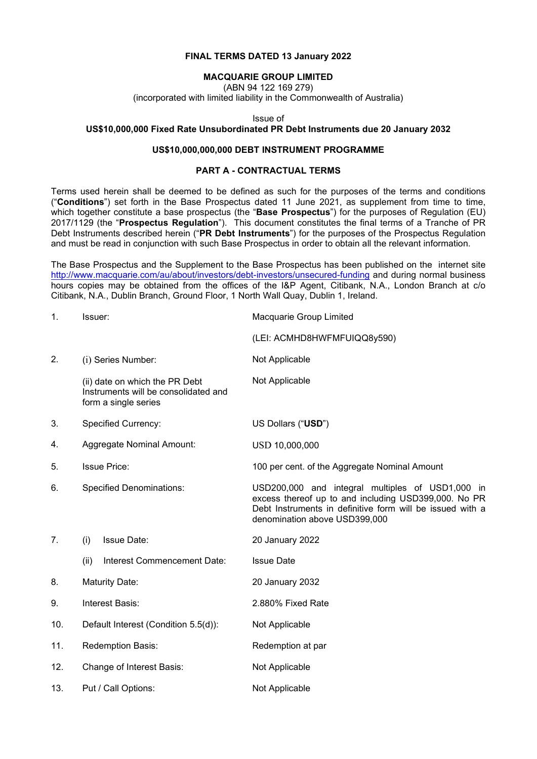### **FINAL TERMS DATED 13 January 2022**

#### **MACQUARIE GROUP LIMITED**

(ABN 94 122 169 279)

(incorporated with limited liability in the Commonwealth of Australia)

Issue of

#### **US\$10,000,000 Fixed Rate Unsubordinated PR Debt Instruments due 20 January 2032**

### **US\$10,000,000,000 DEBT INSTRUMENT PROGRAMME**

#### **PART A - CONTRACTUAL TERMS**

Terms used herein shall be deemed to be defined as such for the purposes of the terms and conditions ("**Conditions**") set forth in the Base Prospectus dated 11 June 2021, as supplement from time to time, which together constitute a base prospectus (the "**Base Prospectus**") for the purposes of Regulation (EU) 2017/1129 (the "**Prospectus Regulation**"). This document constitutes the final terms of a Tranche of PR Debt Instruments described herein ("**PR Debt Instruments**") for the purposes of the Prospectus Regulation and must be read in conjunction with such Base Prospectus in order to obtain all the relevant information.

The Base Prospectus and the Supplement to the Base Prospectus has been published on the internet site <http://www.macquarie.com/au/about/investors/debt-investors/unsecured-funding> and during normal business hours copies may be obtained from the offices of the I&P Agent, Citibank, N.A., London Branch at c/o Citibank, N.A., Dublin Branch, Ground Floor, 1 North Wall Quay, Dublin 1, Ireland.

| 1.  | Issuer:                                                                                        | Macquarie Group Limited                                                                                                                                                                                |  |
|-----|------------------------------------------------------------------------------------------------|--------------------------------------------------------------------------------------------------------------------------------------------------------------------------------------------------------|--|
|     |                                                                                                | (LEI: ACMHD8HWFMFUIQQ8y590)                                                                                                                                                                            |  |
| 2.  | (i) Series Number:                                                                             | Not Applicable                                                                                                                                                                                         |  |
|     | (ii) date on which the PR Debt<br>Instruments will be consolidated and<br>form a single series | Not Applicable                                                                                                                                                                                         |  |
| 3.  | <b>Specified Currency:</b>                                                                     | US Dollars ("USD")                                                                                                                                                                                     |  |
| 4.  | <b>Aggregate Nominal Amount:</b>                                                               | USD 10,000,000                                                                                                                                                                                         |  |
| 5.  | <b>Issue Price:</b>                                                                            | 100 per cent. of the Aggregate Nominal Amount                                                                                                                                                          |  |
| 6.  | <b>Specified Denominations:</b>                                                                | USD200,000 and integral multiples of USD1,000 in<br>excess thereof up to and including USD399,000. No PR<br>Debt Instruments in definitive form will be issued with a<br>denomination above USD399,000 |  |
| 7.  | <b>Issue Date:</b><br>(i)                                                                      | 20 January 2022                                                                                                                                                                                        |  |
|     | (ii)<br>Interest Commencement Date:                                                            | <b>Issue Date</b>                                                                                                                                                                                      |  |
| 8.  | <b>Maturity Date:</b>                                                                          | 20 January 2032                                                                                                                                                                                        |  |
| 9.  | Interest Basis:                                                                                | 2.880% Fixed Rate                                                                                                                                                                                      |  |
| 10. | Default Interest (Condition 5.5(d)):                                                           | Not Applicable                                                                                                                                                                                         |  |
| 11. | Redemption Basis:                                                                              | Redemption at par                                                                                                                                                                                      |  |
| 12. | Change of Interest Basis:                                                                      | Not Applicable                                                                                                                                                                                         |  |
| 13. | Put / Call Options:                                                                            | Not Applicable                                                                                                                                                                                         |  |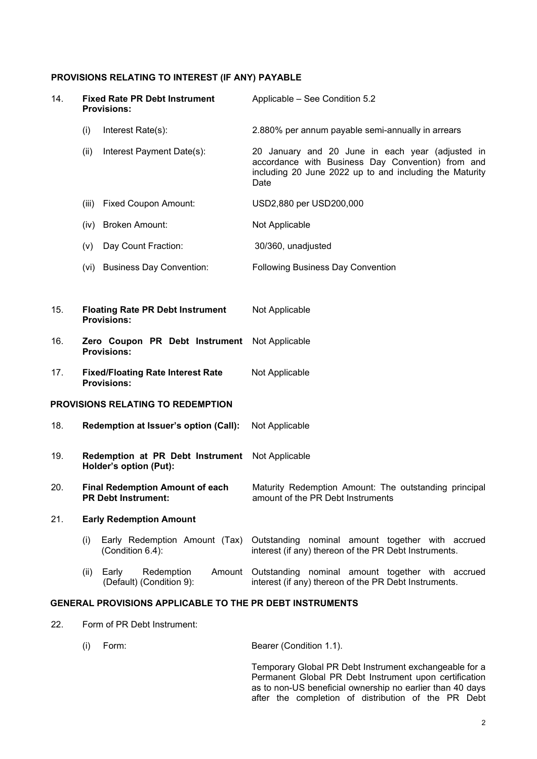# **PROVISIONS RELATING TO INTEREST (IF ANY) PAYABLE**

| 14. | <b>Fixed Rate PR Debt Instrument</b><br><b>Provisions:</b>           | Applicable - See Condition 5.2                                                                                                                                           |
|-----|----------------------------------------------------------------------|--------------------------------------------------------------------------------------------------------------------------------------------------------------------------|
|     | (i)<br>Interest Rate(s):                                             | 2.880% per annum payable semi-annually in arrears                                                                                                                        |
|     | (ii)<br>Interest Payment Date(s):                                    | 20 January and 20 June in each year (adjusted in<br>accordance with Business Day Convention) from and<br>including 20 June 2022 up to and including the Maturity<br>Date |
|     | <b>Fixed Coupon Amount:</b><br>(iii)                                 | USD2,880 per USD200,000                                                                                                                                                  |
|     | <b>Broken Amount:</b><br>(iv)                                        | Not Applicable                                                                                                                                                           |
|     | Day Count Fraction:<br>(v)                                           | 30/360, unadjusted                                                                                                                                                       |
|     | <b>Business Day Convention:</b><br>(vi)                              | <b>Following Business Day Convention</b>                                                                                                                                 |
|     |                                                                      |                                                                                                                                                                          |
| 15. | <b>Floating Rate PR Debt Instrument</b><br><b>Provisions:</b>        | Not Applicable                                                                                                                                                           |
| 16. | Zero Coupon PR Debt Instrument<br><b>Provisions:</b>                 | Not Applicable                                                                                                                                                           |
| 17. | <b>Fixed/Floating Rate Interest Rate</b><br><b>Provisions:</b>       | Not Applicable                                                                                                                                                           |
|     | PROVISIONS RELATING TO REDEMPTION                                    |                                                                                                                                                                          |
| 18. | Redemption at Issuer's option (Call):                                | Not Applicable                                                                                                                                                           |
| 19. | Redemption at PR Debt Instrument<br>Holder's option (Put):           | Not Applicable                                                                                                                                                           |
| 20. | <b>Final Redemption Amount of each</b><br><b>PR Debt Instrument:</b> | Maturity Redemption Amount: The outstanding principal<br>amount of the PR Debt Instruments                                                                               |
| 21. | <b>Early Redemption Amount</b>                                       |                                                                                                                                                                          |
|     | Early Redemption Amount (Tax)<br>(i)<br>(Condition 6.4):             | Outstanding nominal amount together with accrued<br>interest (if any) thereon of the PR Debt Instruments.                                                                |
|     | (ii) Early<br>Redemption<br>(Default) (Condition 9):                 | Amount Outstanding nominal amount together with accrued<br>interest (if any) thereon of the PR Debt Instruments.                                                         |
|     | <b>GENERAL PROVISIONS APPLICABLE TO THE PR DEBT INSTRUMENTS</b>      |                                                                                                                                                                          |

22. Form of PR Debt Instrument:

| (i) | Form: | Bearer (Condition 1.1). |
|-----|-------|-------------------------|
|     |       |                         |

Temporary Global PR Debt Instrument exchangeable for a Permanent Global PR Debt Instrument upon certification as to non-US beneficial ownership no earlier than 40 days after the completion of distribution of the PR Debt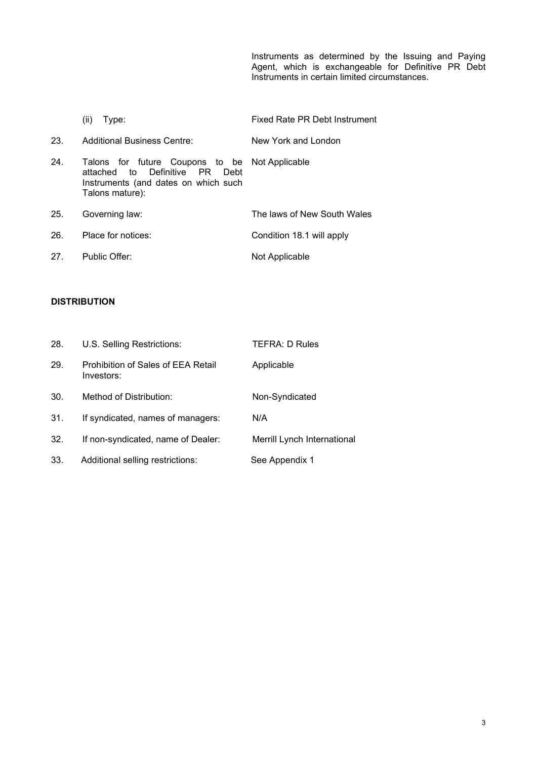Instruments as determined by the Issuing and Paying Agent, which is exchangeable for Definitive PR Debt Instruments in certain limited circumstances.

|     | Type:<br>(ii)                                                                                                                                  | Fixed Rate PR Debt Instrument |
|-----|------------------------------------------------------------------------------------------------------------------------------------------------|-------------------------------|
| 23. | Additional Business Centre:                                                                                                                    | New York and London           |
| 24. | Talons for future Coupons to be Not-Applicable<br>attached to Definitive PR<br>Debt<br>Instruments (and dates on which such<br>Talons mature): |                               |
| 25. | Governing law:                                                                                                                                 | The laws of New South Wales   |
| 26. | Place for notices:                                                                                                                             | Condition 18.1 will apply     |
| 27. | Public Offer:                                                                                                                                  | Not Applicable                |

## **DISTRIBUTION**

| 28. | U.S. Selling Restrictions:                       | <b>TEFRA: D Rules</b>       |
|-----|--------------------------------------------------|-----------------------------|
| 29. | Prohibition of Sales of EEA Retail<br>Investors: | Applicable                  |
| 30. | Method of Distribution:                          | Non-Syndicated              |
| 31. | If syndicated, names of managers:                | N/A                         |
| 32. | If non-syndicated, name of Dealer:               | Merrill Lynch International |
| 33. | Additional selling restrictions:                 | See Appendix 1              |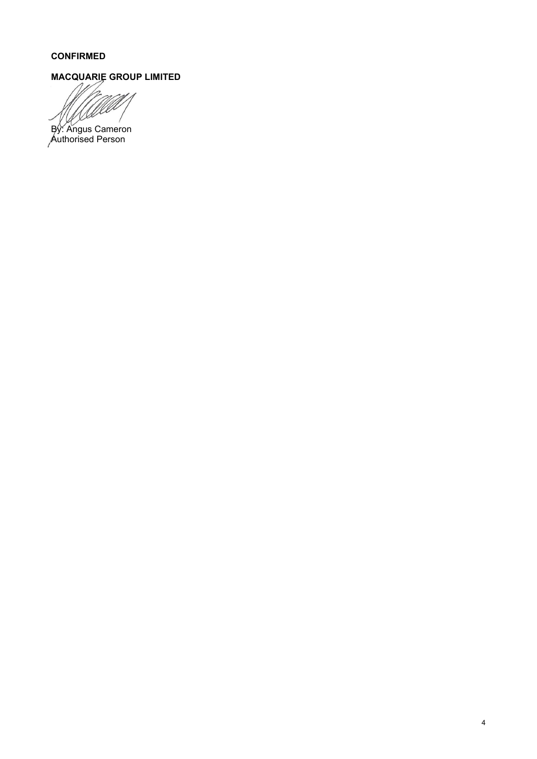## **CONFIRMED**

# **MACQUARIE GROUP LIMITED**

っ VSX By: Angus Cameron

Authorised Person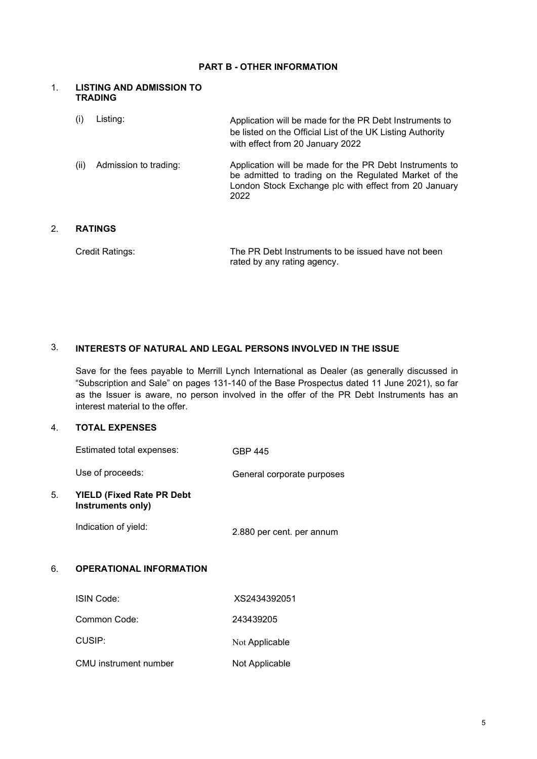### **PART B - OTHER INFORMATION**

#### 1. **LISTING AND ADMISSION TO TRADING**

| (i)  | Listing:              | Application will be made for the PR Debt Instruments to<br>be listed on the Official List of the UK Listing Authority<br>with effect from 20 January 2022                         |
|------|-----------------------|-----------------------------------------------------------------------------------------------------------------------------------------------------------------------------------|
| (ii) | Admission to trading: | Application will be made for the PR Debt Instruments to<br>be admitted to trading on the Regulated Market of the<br>London Stock Exchange plc with effect from 20 January<br>2022 |

## 2. **RATINGS**

| Credit Ratings: | The PR Debt Instruments to be issued have not been |
|-----------------|----------------------------------------------------|
|                 | rated by any rating agency.                        |

## 3. **INTERESTS OF NATURAL AND LEGAL PERSONS INVOLVED IN THE ISSUE**

Save for the fees payable to Merrill Lynch International as Dealer (as generally discussed in "Subscription and Sale" on pages 131-140 of the Base Prospectus dated 11 June 2021), so far as the Issuer is aware, no person involved in the offer of the PR Debt Instruments has an interest material to the offer.

### 4. **TOTAL EXPENSES**

|    | Estimated total expenses:                             | <b>GBP 445</b>             |
|----|-------------------------------------------------------|----------------------------|
|    | Use of proceeds:                                      | General corporate purposes |
| 5. | <b>YIELD (Fixed Rate PR Debt</b><br>Instruments only) |                            |
|    | Indication of yield:                                  | 2.880 per cent. per annum  |
| 6. | <b>OPERATIONAL INFORMATION</b>                        |                            |
|    | ISIN Code:                                            | XS2434392051               |
|    | Common Code:                                          | 243439205                  |
|    | CUSIP:                                                | Not Applicable             |